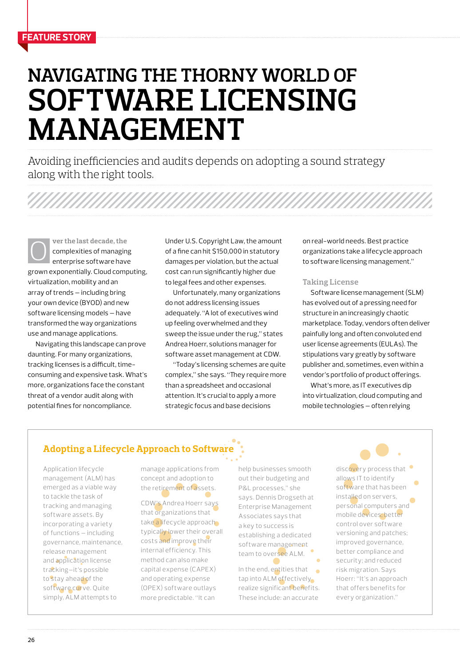# **Navigating the Thorny World of Software Licensing Management**

Avoiding inefficiencies and audits depends on adopting a sound strategy along with the right tools.

**ver the last decade, the**  complexities of managing enterprise software have grown exponentially. Cloud computing, virtualization, mobility and an array of trends — including bring your own device (BYOD) and new software licensing models — have transformed the way organizations use and manage applications. ver the last decade, the U.S. Copyright Law, the amount on real-world needs. Best practice<br>
complexities of managing of a fine can hit \$150,000 in statutory organizations take a lifecycle appro<br>
enterprise software have da

Navigating this landscape can prove daunting. For many organizations, tracking licenses is a difficult, timeconsuming and expensive task. What's more, organizations face the constant threat of a vendor audit along with potential fines for noncompliance.

Under U.S. Copyright Law, the amount of a fine can hit \$150,000 in statutory damages per violation, but the actual cost can run significantly higher due to legal fees and other expenses.

Unfortunately, many organizations do not address licensing issues adequately. "A lot of executives wind up feeling overwhelmed and they sweep the issue under the rug," states Andrea Hoerr, solutions manager for software asset management at CDW.

"Today's licensing schemes are quite complex," she says. "They require more than a spreadsheet and occasional attention. It's crucial to apply a more strategic focus and base decisions

organizations take a lifecycle approach to software licensing management."

#### **Taking License**

Software license management (SLM) has evolved out of a pressing need for structure in an increasingly chaotic marketplace. Today, vendors often deliver painfully long and often convoluted end user license agreements (EULAs). The stipulations vary greatly by software publisher and, sometimes, even within a vendor's portfolio of product offerings.

What's more, as IT executives dip into virtualization, cloud computing and mobile technologies — often relying

### **Adopting a Lifecycle Approach to Software**

Application lifecycle management (ALM) has emerged as a viable way to tackle the task of tracking and managing software assets. By incorporating a variety of functions — including governance, maintenance, release management and application license tracking—it's possible to stay ahead of the software curve. Quite simply, ALM attempts to

manage applications from concept and adoption to the retirement of assets.

CDW's Andrea Hoerr says that organizations that take a lifecycle approach typically lower their overall costs and improve their internal efficiency. This method can also make capital expense (CAPEX) and operating expense (OPEX) software outlays more predictable. "It can

help businesses smooth out their budgeting and P&L processes," she says. Dennis Drogseth at Enterprise Management Associates says that a key to success is establishing a dedicated software management team to oversee ALM.

In the end, entities that tap into ALM effectively realize significant benefits. These include: an accurate

discovery process that allows IT to identify software that has been installed on servers, personal computers and mobile devices; better control over software versioning and patches; improved governance, better compliance and security; and reduced risk migration. Says Hoerr: "It's an approach that offers benefits for every organization."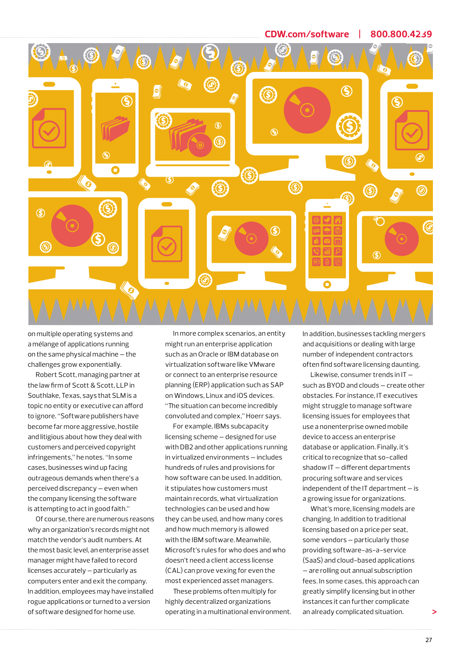

on multiple operating systems and a mélange of applications running on the same physical machine — the challenges grow exponentially.

Robert Scott, managing partner at the law firm of Scott & Scott, LLP in Southlake, Texas, says that SLM is a topic no entity or executive can afford to ignore. "Software publishers have become far more aggressive, hostile and litigious about how they deal with customers and perceived copyright infringements," he notes. "In some cases, businesses wind up facing outrageous demands when there's a perceived discrepancy — even when the company licensing the software is attempting to act in good faith."

Of course, there are numerous reasons why an organization's records might not match the vendor's audit numbers. At the most basic level, an enterprise asset manager might have failed to record licenses accurately — particularly as computers enter and exit the company. In addition, employees may have installed rogue applications or turned to a version of software designed for home use.

In more complex scenarios, an entity might run an enterprise application such as an Oracle or IBM database on virtualization software like VMware or connect to an enterprise resource planning (ERP) application such as SAP on Windows, Linux and iOS devices. "The situation can become incredibly convoluted and complex," Hoerr says.

For example, IBMs subcapacity licensing scheme — designed for use with DB2 and other applications running in virtualized environments — includes hundreds of rules and provisions for how software can be used. In addition, it stipulates how customers must maintain records, what virtualization technologies can be used and how they can be used, and how many cores and how much memory is allowed with the IBM software. Meanwhile, Microsoft's rules for who does and who doesn't need a client access license (CAL) can prove vexing for even the most experienced asset managers.

These problems often multiply for highly decentralized organizations operating in a multinational environment. In addition, businesses tackling mergers and acquisitions or dealing with large number of independent contractors often find software licensing daunting.

Likewise, consumer trends in IT such as BYOD and clouds — create other obstacles. For instance, IT executives might struggle to manage software licensing issues for employees that use a nonenterprise owned mobile device to access an enterprise database or application. Finally, it's critical to recognize that so-called shadow IT — different departments procuring software and services independent of the IT department — is a growing issue for organizations.

What's more, licensing models are changing. In addition to traditional licensing based on a price per seat, some vendors — particularly those providing software-as-a-service (SaaS) and cloud-based applications — are rolling out annual subscription fees. In some cases, this approach can greatly simplify licensing but in other instances it can further complicate an already complicated situation.

**>**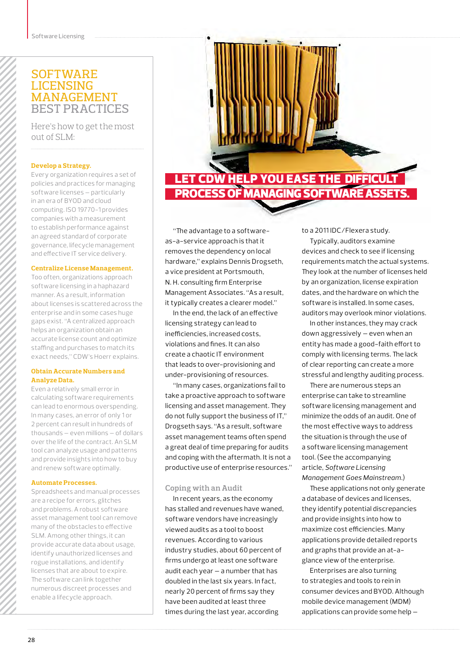## **SOFTWARE LICENSING MANAGEMENT** Best PRactices

Here's how to get the most out of SLM:

#### **Develop a Strategy.**

Every organization requires a set of policies and practices for managing software licenses — particularly in an era of BYOD and cloud computing. ISO 19770-1 provides companies with a measurement to establish performance against an agreed standard of corporate governance, lifecycle management and effective IT service delivery.

#### **Centralize License Management.**

Too often, organizations approach software licensing in a haphazard manner. As a result, information about licenses is scattered across the enterprise and in some cases huge gaps exist. "A centralized approach helps an organization obtain an accurate license count and optimize staffing and purchases to match its exact needs," CDW's Hoerr explains.

#### **Obtain Accurate Numbers and Analyze Data.**

Even a relatively small error in calculating software requirements can lead to enormous overspending. In many cases, an error of only 1 or 2 percent can result in hundreds of thousands — even millions — of dollars over the life of the contract. An SLM tool can analyze usage and patterns and provide insights into how to buy and renew software optimally.

#### **Automate Processes.**

Spreadsheets and manual processes are a recipe for errors, glitches and problems. A robust software asset management tool can remove many of the obstacles to effective SLM. Among other things, it can provide accurate data about usage, identify unauthorized licenses and rogue installations, and identify licenses that are about to expire. The software can link together numerous discreet processes and enable a lifecycle approach.



"The advantage to a softwareas-a-service approach is that it removes the dependency on local hardware," explains Dennis Drogseth, a vice president at Portsmouth, N. H. consulting firm Enterprise Management Associates. "As a result, it typically creates a clearer model."

In the end, the lack of an effective licensing strategy can lead to inefficiencies, increased costs, violations and fines. It can also create a chaotic IT environment that leads to over-provisioning and under-provisioning of resources.

"In many cases, organizations fail to take a proactive approach to software licensing and asset management. They do not fully support the business of IT," Drogseth says. "As a result, software asset management teams often spend a great deal of time preparing for audits and coping with the aftermath. It is not a productive use of enterprise resources."

#### **Coping with an Audit**

In recent years, as the economy has stalled and revenues have waned, software vendors have increasingly viewed audits as a tool to boost revenues. According to various industry studies, about 60 percent of firms undergo at least one software audit each year — a number that has doubled in the last six years. In fact, nearly 20 percent of firms say they have been audited at least three times during the last year, according

to a 2011 IDC/Flexera study.

Typically, auditors examine devices and check to see if licensing requirements match the actual systems. They look at the number of licenses held by an organization, license expiration dates, and the hardware on which the software is installed. In some cases, auditors may overlook minor violations.

In other instances, they may crack down aggressively — even when an entity has made a good-faith effort to comply with licensing terms. The lack of clear reporting can create a more stressful and lengthy auditing process.

There are numerous steps an enterprise can take to streamline software licensing management and minimize the odds of an audit. One of the most effective ways to address the situation is through the use of a software licensing management tool. (See the accompanying article, *Software Licensing Management Goes Mainstream.*)

These applications not only generate a database of devices and licenses, they identify potential discrepancies and provide insights into how to maximize cost efficiencies. Many applications provide detailed reports and graphs that provide an at-aglance view of the enterprise.

Enterprises are also turning to strategies and tools to rein in consumer devices and BYOD. Although mobile device management (MDM) applications can provide some help —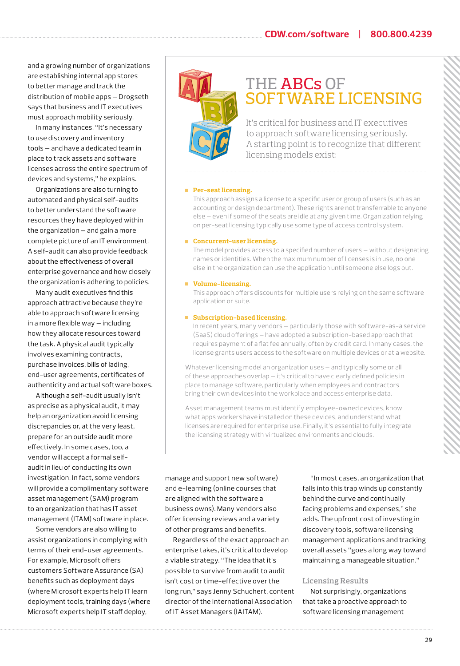and a growing number of organizations are establishing internal app stores to better manage and track the distribution of mobile apps — Drogseth says that business and IT executives must approach mobility seriously.

In many instances, "It's necessary to use discovery and inventory tools — and have a dedicated team in place to track assets and software licenses across the entire spectrum of devices and systems," he explains.

Organizations are also turning to automated and physical self-audits to better understand the software resources they have deployed within the organization — and gain a more complete picture of an IT environment. A self-audit can also provide feedback about the effectiveness of overall enterprise governance and how closely the organization is adhering to policies.

Many audit executives find this approach attractive because they're able to approach software licensing in a more flexible way — including how they allocate resources toward the task. A physical audit typically involves examining contracts, purchase invoices, bills of lading, end-user agreements, certificates of authenticity and actual software boxes.

Although a self-audit usually isn't as precise as a physical audit, it may help an organization avoid licensing discrepancies or, at the very least, prepare for an outside audit more effectively. In some cases, too, a vendor will accept a formal selfaudit in lieu of conducting its own investigation. In fact, some vendors will provide a complimentary software asset management (SAM) program to an organization that has IT asset management (ITAM) software in place.

Some vendors are also willing to assist organizations in complying with terms of their end-user agreements. For example, Microsoft offers customers Software Assurance (SA) benefits such as deployment days (where Microsoft experts help IT learn deployment tools, training days (where Microsoft experts help IT staff deploy,



# THE ABCs of software Licensing

It's critical for business and IT executives to approach software licensing seriously. A starting point is to recognize that different licensing models exist:

#### **Per-seat licensing**.

This approach assigns a license to a specific user or group of users (such as an accounting or design department). These rights are not transferrable to anyone else — even if some of the seats are idle at any given time. Organization relying on per-seat licensing typically use some type of access control system.

#### **Concurrent-user licensing.**

The model provides access to a specified number of users — without designating names or identities. When the maximum number of licenses is in use, no one else in the organization can use the application until someone else logs out.

#### **Volume-licensing.**

This approach offers discounts for multiple users relying on the same software application or suite.

#### **Subscription-based licensing.**

In recent years, many vendors — particularly those with software-as-a service (SaaS) cloud offerings — have adopted a subscription-based approach that requires payment of a flat fee annually, often by credit card. In many cases, the license grants users access to the software on multiple devices or at a website.

Whatever licensing model an organization uses — and typically some or all of these approaches overlap — it's critical to have clearly defined policies in place to manage software, particularly when employees and contractors bring their own devices into the workplace and access enterprise data.

Asset management teams must identify employee-owned devices, know what apps workers have installed on these devices, and understand what licenses are required for enterprise use. Finally, it's essential to fully integrate the licensing strategy with virtualized environments and clouds.

manage and support new software) and e-learning (online courses that are aligned with the software a business owns). Many vendors also offer licensing reviews and a variety of other programs and benefits.

Regardless of the exact approach an enterprise takes, it's critical to develop a viable strategy. "The idea that it's possible to survive from audit to audit isn't cost or time-effective over the long run," says Jenny Schuchert, content director of the International Association of IT Asset Managers (IAITAM).

"In most cases, an organization that falls into this trap winds up constantly behind the curve and continually facing problems and expenses," she adds. The upfront cost of investing in discovery tools, software licensing management applications and tracking overall assets "goes a long way toward maintaining a manageable situation."

#### **Licensing Results**

Not surprisingly, organizations that take a proactive approach to software licensing management